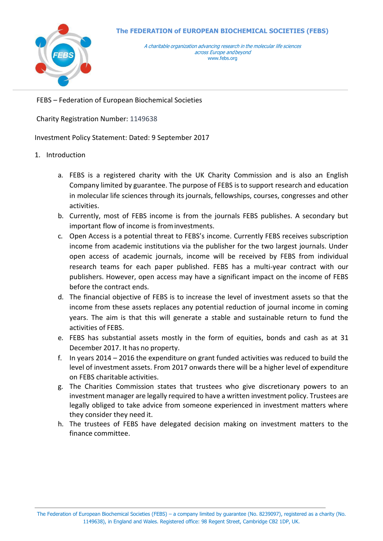

FEBS – Federation of European Biochemical Societies

Charity Registration Number: 1149638

## Investment Policy Statement: Dated: 9 September 2017

## 1. Introduction

- a. FEBS is a registered charity with the UK Charity Commission and is also an English Company limited by guarantee. The purpose of FEBS is to support research and education in molecular life sciences through its journals, fellowships, courses, congresses and other activities.
- b. Currently, most of FEBS income is from the journals FEBS publishes. A secondary but important flow of income is frominvestments.
- c. Open Access is a potential threat to FEBS's income. Currently FEBS receives subscription income from academic institutions via the publisher for the two largest journals. Under open access of academic journals, income will be received by FEBS from individual research teams for each paper published. FEBS has a multi-year contract with our publishers. However, open access may have a significant impact on the income of FEBS before the contract ends.
- d. The financial objective of FEBS is to increase the level of investment assets so that the income from these assets replaces any potential reduction of journal income in coming years. The aim is that this will generate a stable and sustainable return to fund the activities of FEBS.
- e. FEBS has substantial assets mostly in the form of equities, bonds and cash as at 31 December 2017. It has no property.
- f. In years 2014 2016 the expenditure on grant funded activities was reduced to build the level of investment assets. From 2017 onwards there will be a higher level of expenditure on FEBS charitable activities.
- g. The Charities Commission states that trustees who give discretionary powers to an investment manager are legally required to have a written investment policy. Trustees are legally obliged to take advice from someone experienced in investment matters where they consider they need it.
- h. The trustees of FEBS have delegated decision making on investment matters to the finance committee.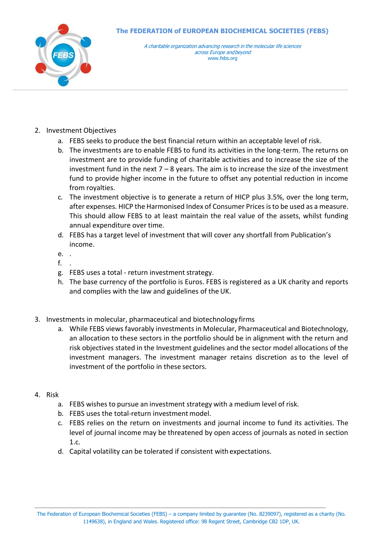

A charitable organization advancing research in the molecular life sciences across Europe andbeyond [www.febs.org](http://www.febs.org/)

- 2. Investment Objectives
	- a. FEBS seeks to produce the best financial return within an acceptable level of risk.
	- b. The investments are to enable FEBS to fund its activities in the long-term. The returns on investment are to provide funding of charitable activities and to increase the size of the investment fund in the next  $7 - 8$  years. The aim is to increase the size of the investment fund to provide higher income in the future to offset any potential reduction in income from royalties.
	- c. The investment objective is to generate a return of HICP plus 3.5%, over the long term, after expenses. HICP the Harmonised Index of Consumer Prices isto be used as a measure. This should allow FEBS to at least maintain the real value of the assets, whilst funding annual expenditure over time.
	- d. FEBS has a target level of investment that will cover any shortfall from Publication's income.
	- e. .
	- f. .
	- g. FEBS uses a total return investment strategy.
	- h. The base currency of the portfolio is Euros. FEBS is registered as a UK charity and reports and complies with the law and guidelines of the UK.
- 3. Investments in molecular, pharmaceutical and biotechnology firms
	- a. While FEBS views favorably investments in Molecular, Pharmaceutical and Biotechnology, an allocation to these sectors in the portfolio should be in alignment with the return and risk objectives stated in the Investment guidelines and the sector model allocations of the investment managers. The investment manager retains discretion as to the level of investment of the portfolio in these sectors.
- 4. Risk
	- a. FEBS wishes to pursue an investment strategy with a medium level of risk.
	- b. FEBS uses the total-return investment model.
	- c. FEBS relies on the return on investments and journal income to fund its activities. The level of journal income may be threatened by open access of journals as noted in section 1.c.
	- d. Capital volatility can be tolerated if consistent withexpectations.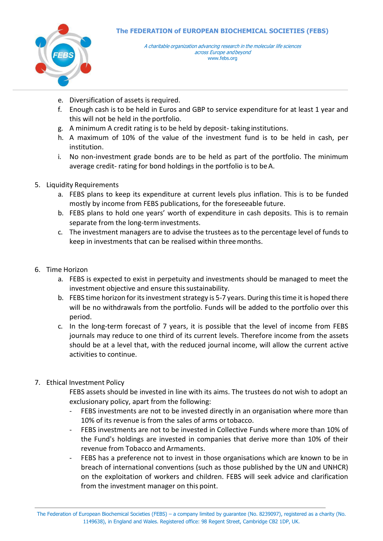

- e. Diversification of assets is required.
- f. Enough cash is to be held in Euros and GBP to service expenditure for at least 1 year and this will not be held in the portfolio.
- g. A minimum A credit rating is to be held by deposit- taking institutions.
- h. A maximum of 10% of the value of the investment fund is to be held in cash, per institution.
- i. No non-investment grade bonds are to be held as part of the portfolio. The minimum average credit- rating for bond holdings in the portfolio is to beA.
- 5. Liquidity Requirements
	- a. FEBS plans to keep its expenditure at current levels plus inflation. This is to be funded mostly by income from FEBS publications, for the foreseeable future.
	- b. FEBS plans to hold one years' worth of expenditure in cash deposits. This is to remain separate from the long-term investments.
	- c. The investment managers are to advise the trustees as to the percentage level of funds to keep in investments that can be realised within threemonths.
- 6. Time Horizon
	- a. FEBS is expected to exist in perpetuity and investments should be managed to meet the investment objective and ensure this sustainability.
	- b. FEBS time horizon for its investment strategy is 5-7 years. During this time it is hoped there will be no withdrawals from the portfolio. Funds will be added to the portfolio over this period.
	- c. In the long-term forecast of 7 years, it is possible that the level of income from FEBS journals may reduce to one third of its current levels. Therefore income from the assets should be at a level that, with the reduced journal income, will allow the current active activities to continue.
- 7. Ethical Investment Policy

FEBS assets should be invested in line with its aims. The trustees do not wish to adopt an exclusionary policy, apart from the following:

- FEBS investments are not to be invested directly in an organisation where more than 10% of its revenue is from the sales of arms ortobacco.
- FEBS investments are not to be invested in Collective Funds where more than 10% of the Fund's holdings are invested in companies that derive more than 10% of their revenue from Tobacco and Armaments.
- FEBS has a preference not to invest in those organisations which are known to be in breach of international conventions (such as those published by the UN and UNHCR) on the exploitation of workers and children. FEBS will seek advice and clarification from the investment manager on this point.

The Federation of European Biochemical Societies (FEBS) – a company limited by guarantee (No. 8239097), registered as a charity (No. 1149638), in England and Wales. Registered office: 98 Regent Street, Cambridge CB2 1DP, UK.